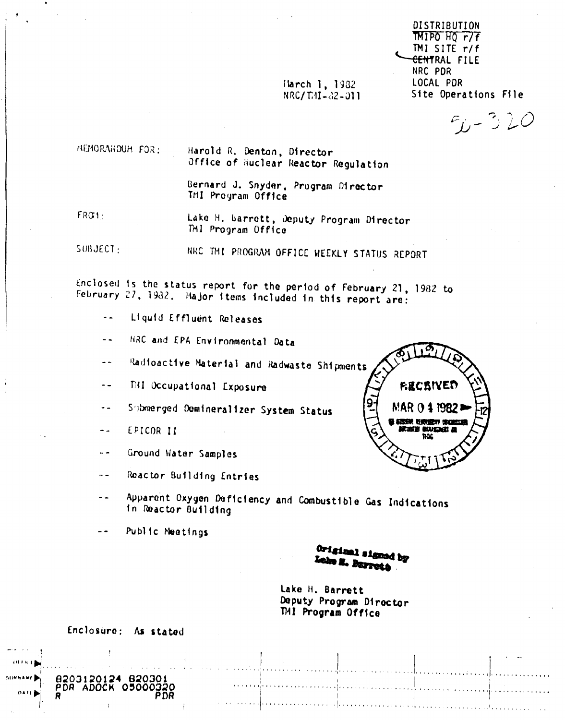Harch 1, 1982 NRC/THI-02-011

DISTRIBUTION TMIPO HQ r/f TMI SITE r/f <del>CENT</del>RAL FILE NRC PDR LOCAL PDR Site Operations File

 $F_L - 320$ 

MEMORAHDUH FOR:

Harold R. Denton, Director Office of Nuclear Reactor Regulation

Bernard J. Snyder, Program Director TMI Program Office

 $FRO1:$ 

Lake H. Barrett, Deputy Program Director TMI Program Office

SUBJECT: NRC THI PROGRAM OFFICE WEEKLY STATUS REPORT

Enclosed is the status report for the period of February 21, 1982 to February 27, 1932. Major items included in this report are:

- Liquid Effluent Releases  $\overline{\phantom{a}}$  .
- NRC and EPA Environmental Data  $\sim$   $\sim$
- Radioactive Material and Radwaste Shipments  $- -$
- TAI Occupational Exposure  $-$
- Submerged Demineralizer System Status  $\sim$   $\sim$
- EPICOR II  $\sim$   $\sim$
- Ground Water Samples  $\sim$   $-$
- Reactor Building Entries  $\sim$
- Apparent Oxygen Deficiency and Combustible Gas Indications  $\frac{1}{2}$ in Reactor Building
- $\overline{a}$ Public Meetings

Original signed by Lake H. Barrett

Lake H. Barrett Deputy Program Director TMI Program Office

Enclosure: As stated

05000320

P D.R

8203120124 82030

PDR ADOCK

 $0411$ 



and all the company of the com-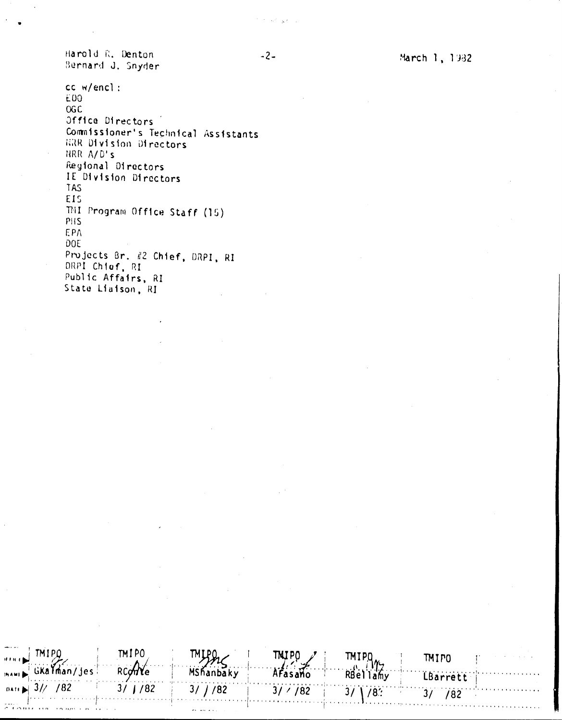Harold R. Denton Bernard J. Snyder

CC w/encl: E00 **OGC** Office Directors Commissioner's Technical Assistants HRR Division Directors NRR A/D's Regional Directors IE Division Directors **TAS** EIS THI Program Office Staff (15) PHS EPA DOE Projects Br. #2 Chief, DRPI, RI DRPI Chief, RI Public Affairs, RI State Liaison, RI

TMIPO TNJP0 TMIPO **TMIPO** بههن RCOMe GKalman/jes Mshanbaky Afasano RBellamy LBarrett  $\blacktriangleright$  3// /82  $3/$   $/82$  $3/ / 182$  $3/ / 182$  $3/$  $/8$ .  $3/7/82$ 

المواضح الأسا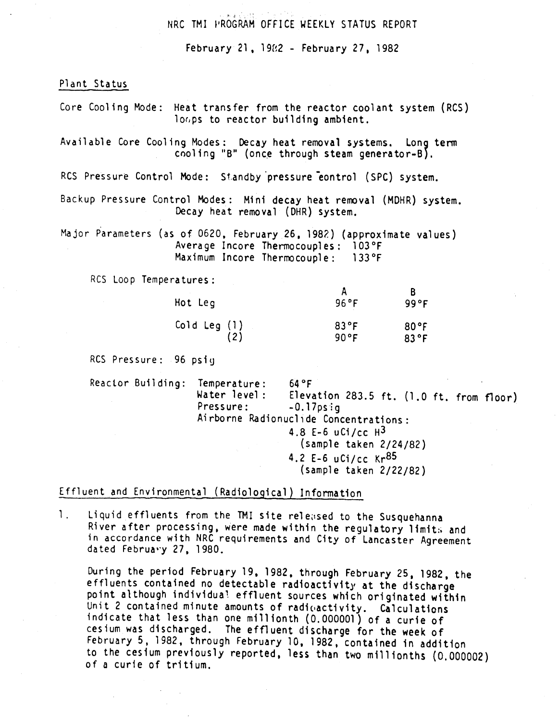### NRC TMI PROGRAM OFFICE WEEKLY STATUS REPORT

February 21, 1982 - February 27, 1982

Plant Status

Core Cooling Mode: Heat transfer from the reactor coolant system (RCS) loops to reactor building ambient.

Available Core Cooling Modes: Decay heat removal systems. Long term cooling "B" (once through steam generator-B).

RCS Pressure Control Mode: Standby pressure eontrol (SPC) system.

Backup Pressure Control Modes: Mini decay heat removal (MDHR) system. Decay heat removal (DHR) system.

Major Parameters (as of 0620, February 26, 1982) (approximate values) Average Incore Thermocouples: 103°F Maximum Incore Thermocouple:  $133$ °F

RCS Loop Temperatures:

| Hot Leg      | 96°F           | 99 ° F |
|--------------|----------------|--------|
| Cold Leg (1) | $83^{\circ}$ F | 80°F   |
| (2)          | 90°F           | 83°F   |

RCS Pressure: 96 psiq

Reactor Building: Temperature:  $64°F$ Water level: Elevation 283.5 ft. (1.0 ft. from floor) Pressure:  $-0.17$ ps: $q$ Airborne Radionuclide Concentrations: 4.8 E-6 uCi/cc  $H^3$ (sample taken 2/24/82) 4.2 E-6 uCi/cc  $Kr^{85}$  $(sample taken 2/22/82)$ 

Effluent and Environmental (Radiological) Information

Liquid effluents from the TMI site released to the Susquehanna  $\mathbf{1}$ . River after processing, were made within the regulatory limits and in accordance with NRC requirements and City of Lancaster Agreement dated February 27, 1980.

During the period February 19, 1982, through February 25, 1982, the effluents contained no detectable radioactivity at the discharge point although individual effluent sources which originated within Unit 2 contained minute amounts of radioactivity. Calculations indicate that less than one millionth (0.000001) of a curie of cesium was discharged. The effluent discharge for the week of February 5, 1982, through February 10, 1982, contained in addition to the cesium previously reported, less than two millionths (0.000002) of a curie of tritium.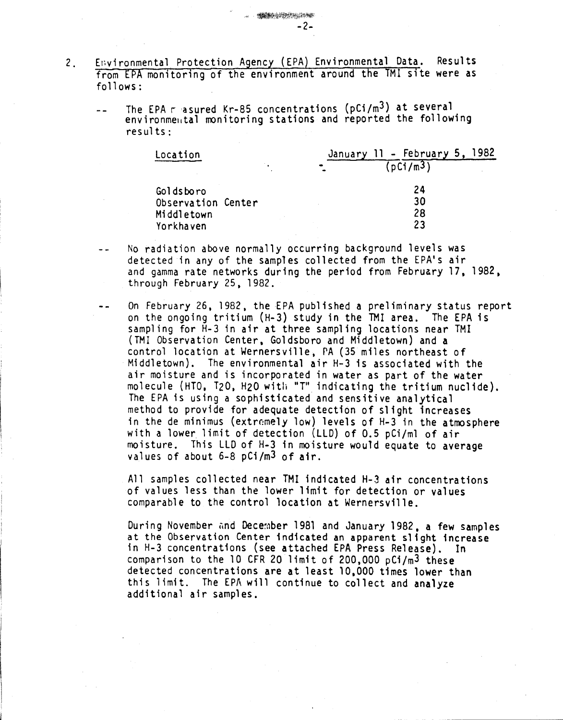- 2. Environmental Protection Agency (EPA) Environmental Data. Results from EPA monitoring of the environment around the TMI site were as follows:
	- The EPA  $r$  asured Kr-85 concentrations (pCi/m<sup>3</sup>) at several  $\equiv$   $\equiv$ environmental monitoring stations and reported the following results:

 $-2-$ 

**SEARCH DESCRIPTION** 

| Location           |  | January 11 - February 5, | 1982 |
|--------------------|--|--------------------------|------|
|                    |  | [pC1/m3]                 |      |
| Goldsboro          |  | 24                       |      |
| Observation Center |  | 30                       |      |
| Middletown         |  | 28                       |      |
| Yorkhaven          |  | 23                       |      |

- No radiation above normally occurring background levels was  $\sim$   $\sim$ detected in any of the samples collected from the EPA's air and gamma rate networks during the period from February 17, 1982, through February 25, 1982.
- On February 26,1982, the EPA published a preliminary status report on the ongoing tritium (H-3) study in the TMI area. The EPA is sampling for H-3 in air at three sampling locations near TMI (TMI Observation Center, Goldsboro and Middletown) and a control location at Wernersville, PA (35 miles northeast of Middletown). The environmental air H-3 is associated with the air moisture and is incorporated in water as part of the water molecule (HTO, T20, H20 witli "T" indicating the tritium nuclide). The EPA is using a sophisticated and sensitive analytical method to provide for adequate detection of slight increases in the de minimus (extremely low) levels of H-3 in the atmosphere with a lower limit of detection (LLD) of 0.5 pCi/ml of air moisture. This LLD of H-3 in moisture would equate to average values of about 6-8 pCi/m3 of air.

All samples collected near TMI indicated H-3 air concentrations of values less than the lower limit for detection or values comparable to the control location at Wernersville.

During November and December 1981 and January 1982, a few samples at the Observation Center indicated an apparent slight increase in H-3 concentrations (see attached EPA Press Release). In comparison to the 10 CFR 20 limit of 200,000 pCi/m3 these detected concentrations are at least 10,000 times lower than this limit. The EPA will continue to collect and analyze additional air samples.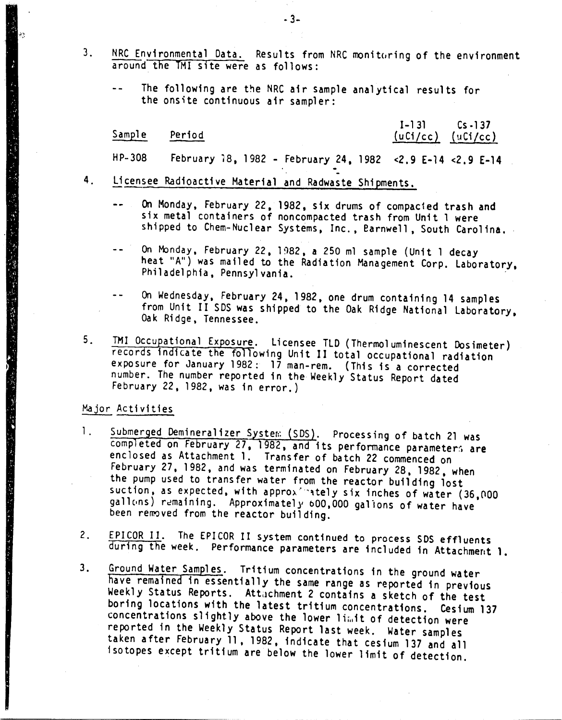- 3. NRC Environmental Data. Results from NRC monitoring of the environment around the TMI site were as follows:
	- $\sim$   $\sim$ The following are the NRC air sample analytical results for the ons'te continuous air sampler:

#### Sample

## 1-131 Cs.137 Period *(uCi/cc) (uCi/cc) (uCi/c*)

HP-308 February 18, 1982 - February 24, 1982 <2.9 E-14 <2.9 E-14

- 4. Licensee Radioactive Material and Radwaste Shipments.
	- $\sim$ On Monday, February 22,1982, six drums of compacted trash and six metal containers of noncompacted trash from Unit 1 were shipped to Chem-Nuclear Systems, Inc., Barnwell, South Carolina.
	- $-$ On Monday, February 22, 1982, a 250 ml sample (Unit 1 decay heat "A") was mailed to the Radiation Management Corp. Laboratory, Philadelphia, Pennsylvania. .
	- On Wednesday, February 24, 1982, one drum containing 14 samples  $\sim$   $\sim$ from Unit II SDS was shipped to the Oak Ridge National Laboratory, Oak Ridge, Tennessee.
- 5. TMI Occupational Exposure. Licensee TLD (Thermol uminescent Dosimeter) records indicate the following Unit II total occupational radiation exposure for January 1982: 17 man-rem. (This is a corrected number. The number reported in the Weekly Status Report dated February 22,1982, was in error.)

#### Major Activities

"我们的人,我们的人,我们的人,我们的人们的人,我们的人们,我们的人们的人们,我们的人们的人们的人们,我们的人们的人们,我们的人们的人们,我们的人们的人们,我们的人们的人们,我们的人们的人们的人们,我

- 1. Submerged Demineralizer System (SDS). Processing of batch 21 was completed on February 27, 1982, and its performance parameters are enclosed as Attachment 1. Transfer of batch 22 commenced on February 27, 1982, and was terminated on February 28, 1982, when the pump used to transfer water from the reactor building lost suction, as expected, with approximately six inches of water (36,000 gallons) remaining. Approximately 600,000 gallons of water have been removed from the reactor building.
- 2. EPICOR II. The EPICOR II system continued to process SDS effluents during the week. Performance parameters are included in Attachment 1.
- 3. Ground Water Samples. Tritium concentrations in the ground water have remained in essentially the same range as reported in previous Weekly Status Reports. Attuchment 2 contains a sketch of the test boring locations with the latest tritium concentrations. Cesium 137 concentrations slightly above the lower limit of detection were reported in the Weekly Status Report last week. Water samples taken after February 11, 1982, indicate that cesium 137 and all isotopes except tritium are below the lower limit of detection.

.3-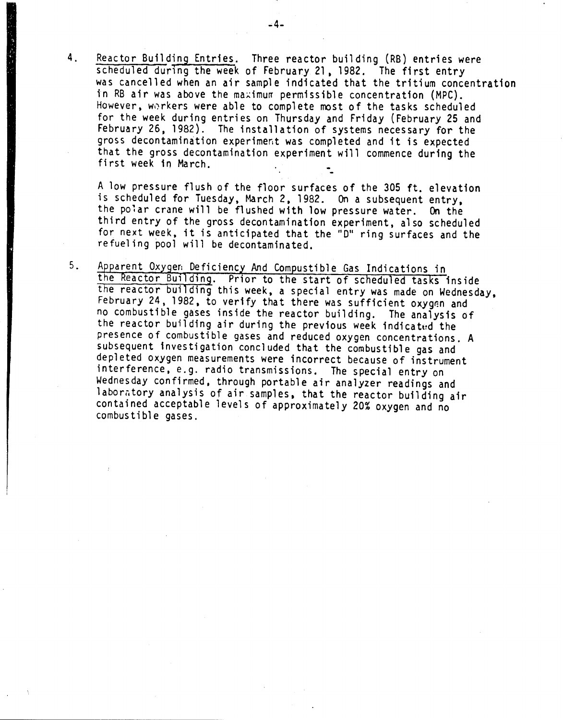4. Reactor Building Entries. Three reactor building (RB) entries were scheduled during the week of February 21, 1982. The first entry was cancelled when an air sample indicated that the tritium concentration in RB air was above the maximum permissible concentration (MPC). However, workers were able to complete most of the tasks scheduled for the week during entries on Thursday and Friday (February 25 and February 26, 1982). The installation of systems necessary for the gross decontamination experiment was completed and it is expected that the gross decontamination experiment will commence during the first week in March.

A low pressure flush of the floor surfaces of the 305 ft. elevation is schedul ed for Tuesday, March 2, 1982. On a subsequent entry, the polar crane will be flushed with low pressure water. On the third entry of the gross decontamination experiment, also scheduled for next week, it is anticipated that the "0" ring surfaces and the refueling pool will be decontaminated.

5. Apparent Oxygen: Deficiency And Compustible Gas Indications in the Reactor Building. Prior to the start of scheduled tasks inside the reactor building this week, a special entry was made on Wednesday, February 24, 1982, to verify that there was sufficient oxygen and no combustible gases inside the reactor building. The analysis of the reactor building air during the previous week indicated the presence of combustible gases and reduced oxygen concentrations. A subsequent investigation concluded that the combustible gas and depleted oxygen measurements were incorrect because of instrument interference, e.g. radio transmissions. The special entry on Wednesday confirmed. through portable air analyzer readings and laboratory analysis of air samples, that the reactor building air contained acceptable levels of approximately 20% oxygen and no combustible gases.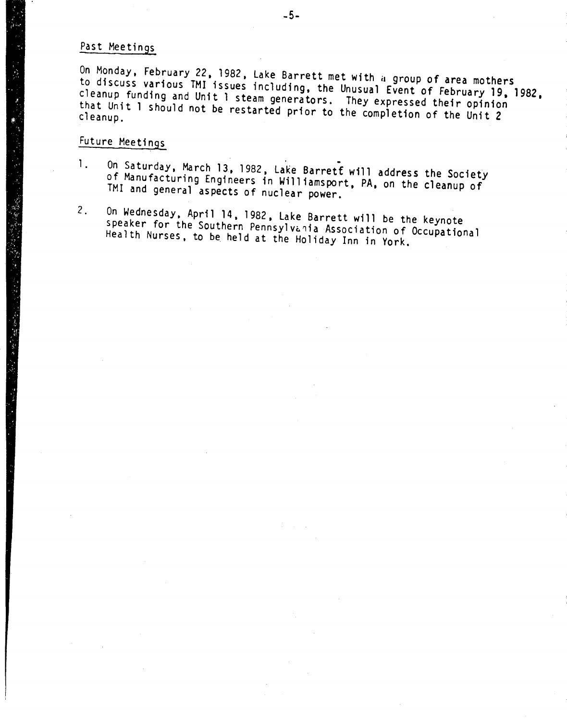# Past Meetings

On Monday, February 22, 1982, Lake Barrett met with a group of area mothers to discuss various TMI issues including, the Unusual Event of February 19, 1982, cleanup funding and Unit 1 steam generators. They expressed their opinion that Unit I should not be restarted prior to the completion of the Unit 2

# Future Meetings

- 1. On Saturday, March 13, 1982, Lake Barrett will address the Society of Manufacturing Engineers in Williamsport, PA, on the cleanup of TMI and general aspects of nuclear power.
- 2. On Wednesday. April 14.1982, lake Barrett will be the keynote speaker for the Southern Pennsylvania Association of Occupational Health Nurses. to be held at the Holiday Inn in York.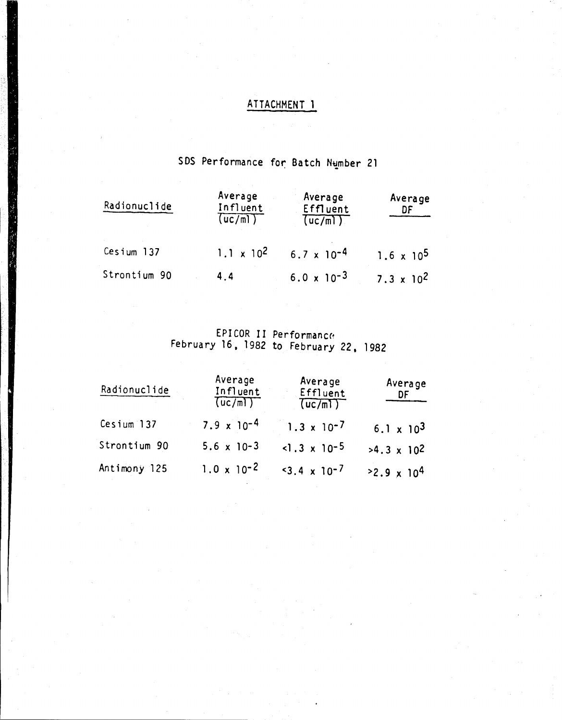# ATTACHMENT 1

# SDS Performance for Batch Number 21

| Radionuclide | Average<br>Influent<br>(uc/m) | Average<br>Effluent<br>(uc/m) | Average<br>DF       |
|--------------|-------------------------------|-------------------------------|---------------------|
| Cesium 137   | $1.1 \times 10^2$             | $6.7 \times 10^{-4}$          | $1.6 \times 10^5$   |
| Strontium 90 | 4.4                           | $6.0 \times 10^{-3}$          | $7.3 \times 10^{2}$ |

EPICOR II Performance<br>February 16, 1982 to February 22, 1982

| Radionuclide | Average<br>Influent<br>(uc/m) | Average<br>Effluent<br>(uc/m) | Average<br>DF                |
|--------------|-------------------------------|-------------------------------|------------------------------|
| Cesium 137   | $7.9 \times 10^{-4}$          | $1.3 \times 10^{-7}$          | 6.1 $\times$ 10 <sup>3</sup> |
| Strontium 90 | $5.6 \times 10-3$             | $<$ 1.3 x 10-5                | $>4.3 \times 10^{2}$         |
| Antimony 125 | $1.0 \times 10^{-2}$          | $3.4 \times 10^{-7}$          | $2.9 \times 10^{4}$          |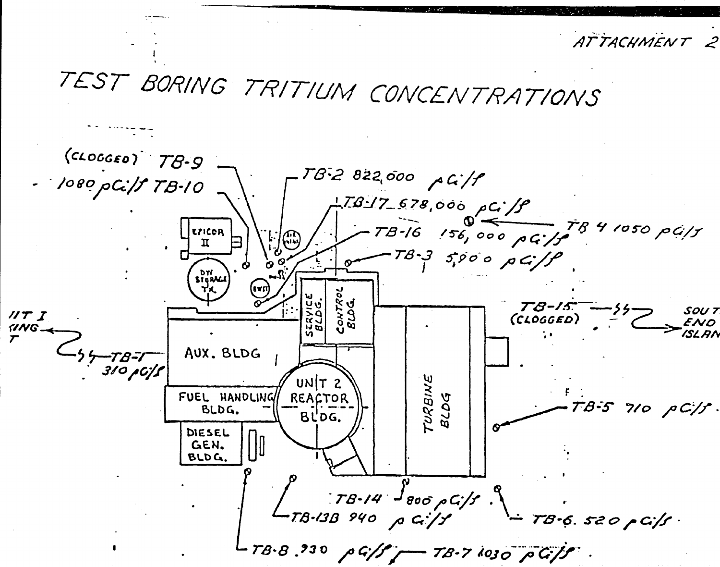ATTACHMENT 2 TEST BORING TRITIUM CONCENTRATIONS  $(c\text{LOGEO})$   $78-9$ TB-2 822,000 AG/P

1080 pCi/f TB-10  $178/7678,000 \rho G/f$ TB-16 156,000 pG-15<sup>TB</sup> 4 1050 pG/s **EPICOR**  $\mathbf I$  $78 - 35000$  p  $G/P$ DW<br>SIGRACA ०<br>१<br>१ T8-15\* SOU<sub>T</sub>  $UTI$ cow)<br>BCD  $(CLOGGED)$  $IVAG$  $C_{55-TB-T}$ AUX. BLDG  $310$  p  $C/f$ TURBINE<br>BLDG  $UN|T2$ FUEL HANDLING REACTOR  $-78-5$  710  $\rho C/f$ . BLDG.  $BLDG.$ DIESEL GEN. **BLDG.**  $78 - 14$   $\frac{1}{800}$   $\rho$   $G/f$ .  $-TB-13B$  940 p ci/y  $T8.6.520 \rho G/s$  $T3.8$   $930$   $\rho G/f$   $T3.7$   $1030$   $\rho G/f$ .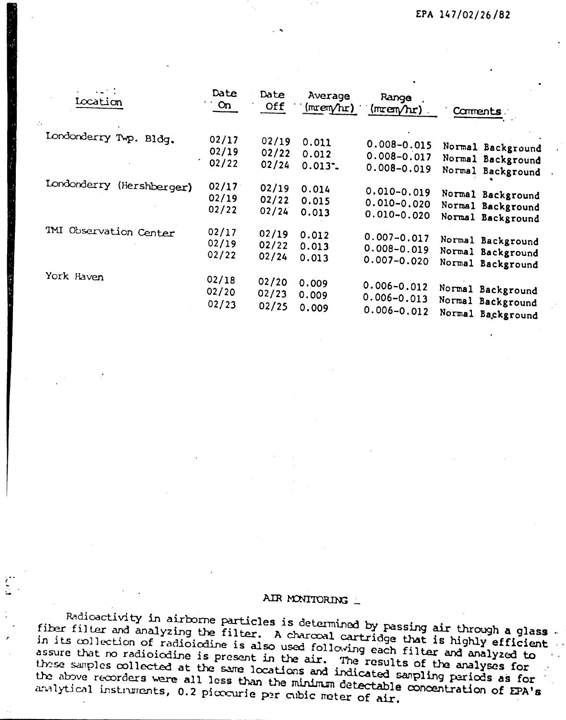| Iocation                  | Date<br>$\sim$ On | Date<br>Off | Average<br>(mrem/hr) | Range<br>$(\text{mer} \wedge \text{tr})$ | Comments          |
|---------------------------|-------------------|-------------|----------------------|------------------------------------------|-------------------|
| Londonderry Twp. Bldg.    | 02/17             | 02/19       | 0.011                | $0.008 - 0.015$                          | Normal Background |
|                           | 02/19             | 02/22       | 0.012                | $0.008 - 0.017$                          | Normal Background |
|                           | 02/22             | 02/24       | $0.013 -$            | $0.008 - 0.019$                          | Normal Background |
| Londonderry (Hershberger) | 02/17             | 02/19       | 0.014                | $0.010 - 0.019$                          | Normal Background |
|                           | 02/19             | 02/22       | 0.015                | $0.010 - 0.020$                          | Normal Background |
|                           | 02/22             | 02/24       | 0.013                | $0.010 - 0.020$                          | Normal Background |
| TMI Observation Center    | 02/17             | 02/19       | 0.012                | $0.007 - 0.017$                          | Normal Background |
|                           | 02/19             | 02/22       | 0.013                | $0.008 - 0.019$                          | Normal Background |
|                           | 02/22             | 02/24       | 0.013                | $0.007 - 0.020$                          | Normal Background |
| York Haven                | 02/18             | 02/20       | 0.009                | $0.006 - 0.012$                          | Normal Background |
|                           | 02/20             | 02/23       | 0.009                | $0.006 - 0.013$                          | Normal Background |
|                           | 02/23             | 02/25       | 0.009                | $0.006 - 0.012$                          | Normal Background |

# AIR MONITORING \_

Radioactivity in airborne particles is determined by passing air through a glass. fiber filter and analyzing the filter. A charcoal cartridge that is highly efficient in its collection of radioicdine is also used following each filter and analyzed to assure that no radioiodine is present in the air. The results of the analyses for those samples collected at the same locations and indicated sampling pariods as for the above recorders were all less than the minimum detectable concentration of EPA's analytical instruments, 0.2 picocurie per cubic meter of air.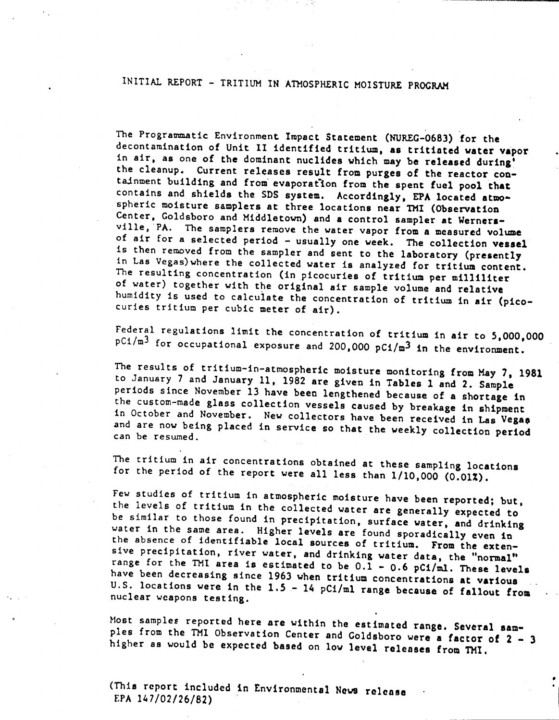# INITIAL REPORT - TRITIUM IN ATMOSPHERIC MOISTURE PROGRAM

The Programmatic Environment Impact Statement (NUREC-0683) for the decontamination of Unit 11 identified tritium, as tritiated water vapor in air, as one of the dominant nuclides which may be released during! the cleanup. Current releases result from purges of the reactor contajnment building and from' evaporatIon from the spent fuel pool that contains and shields the SDS system. Accordingly, EPA located atmospheric moisture samplers at three locations near TMI (Observation Center, Goldsboro and Middletown) and a control sampler at Wernersville, PA. The samplers remove the water vapor from a measured volume of air for a selected period - usually one week. The collection vessel is then removed from the sampler and sent to the laboratory (presently in Las Vegas)where the collected water is analyzed for tritium content. The resulting concentration (inpicocuries of tritium per milliliter of water) together with the original air sample volume and relative humidity is used to calculate the concentration of tritium in air (picocuries tritium per cubic meter of air).

Federal regulations limit the concentration of tritium in air to 5,000,000  $pC1/m<sup>3</sup>$  for occupational exposure and 200,000  $pC1/m<sup>3</sup>$  in the environment

The results of tritium-in-atmospheric moisture monitoring from May 7, 1981 to January 7 and January II, 1982 are given in Tables land 2. Sample periods since November 13 have been lengthened because of a shortage in the custom-made glass collection vessels caused by breakage in shipment in October and November. New collectors have been received in Las Vegas and are now being placed in service so that the weekly collection period can be resumed.

The tritium in air concentrations obtained at these sampling locations for the period of the report were all less than 1/10,000 (0.01%).

Few studies of tritium in atmospheric moisture have been reported; but, the levels of tritium in the collected water are generally expected to be similar to those found in precipitation, surface water, and drinking water in the same area. Higher levels are found sporadically even in the absence of identifiable local sources of tritium. From the extensive precipitation, river water, and drinking water data, the "normal" range for the TMI area is estimated to be  $0.\overline{1}$  - 0.6 pC1/ml. These levels have been decreasing since 1963 when tritium concentrations at various U.S. locations were in the  $1.5 - 14$  pCi/ml range because of fallout from nuclear weapons testing.

Most samples reported here are within the estimated range. Several samples from the TMI Observation Center and Coldsboro were a factor of  $2 - 3$ higher as would be expected based on low level releases from THI.

•

(This report included in Environmental News release EPA 147/02/26/82)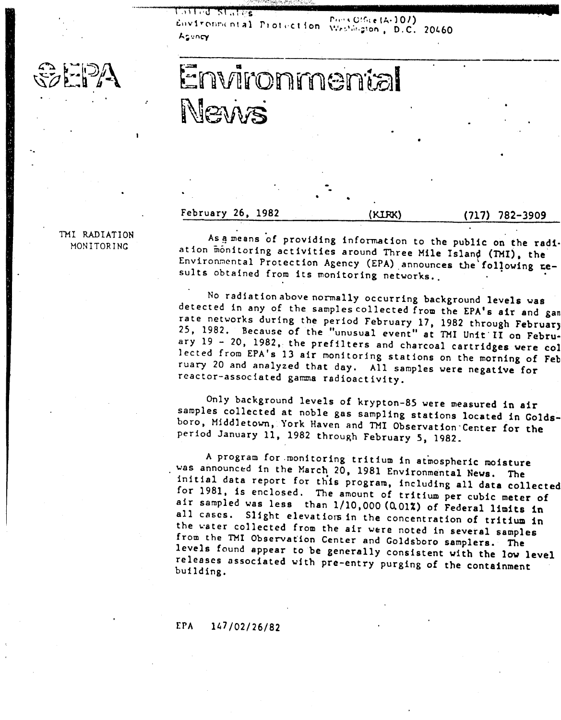51.175 Environmental Protection Personnel (A-107) Asuncy

**Press Office (A-107)** 

# Environmental News

## February 26. 1982 (KIRK) (717) 782-3909

THI RADIATION

II RADIATION As a means of providing information to the public on the radi-<br>MONITORING ation mention to contribute ation monitoring activities around Three Mile Island (TMI), the Environmental Protection Agency (EPA) announces the following  $=$ sults obtained from its monitoring networks.

•.

No radiation above normally occurring background levels was detected in any of the samples collected  $f$ rom the EPA's air and gan rate networks during the period February 17, 1982 through February 25, 1982. Because of the "unusual event" at TMI Unit  $\overline{11}$  on February 19 - 20, 1982. the prefilters and charcoal cartridges were col lected from EPA's 13 air monitoring stations on the morning of Feb ruary 20 and analyzed that day. All samples were negative for reactor-associated gamma radioactivity.

Only background levels of krypton-8S were measured in air samples collected at noble gas sampling stations located in Coldsboro. Middletown. York Haven and TMI Observation"Center for the period January 11. 1982 through February 5, 1982.

A program for ,monitoring tritium in atmospheric moisture was announced in the March 20, 1981 Environmental News. The initial data report for this program. including all data collected for 1981, is enclosed. The amount of tritium per cubic meter of air sampled was less than 1/10,000 (Q.01%) of Federal limits in all cases. Slight elevations in the concentration of tritium in the water collected from the air were noted in several samples from the THI Observat'ion Center and Goldsboro samplers. The levels found appear to be generally consistent with the low level releases associated with pre-entry purging of the containment building.

## EPA 147/02/26/82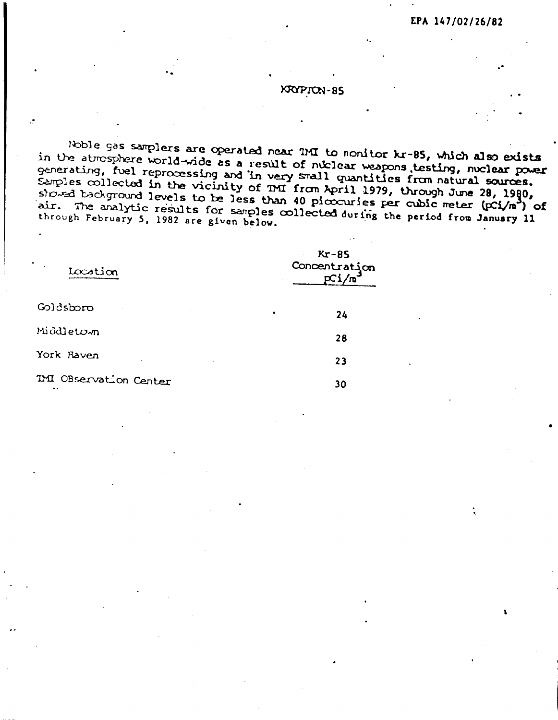## **KRYPION-85**

Noble gas samplers are operated near THI to monitor kr-85, which also exists in the atmosphere world-wide as a result of nuclear weapons testing, nuclear power generating, fuel reprocessing and in very small quantities from natural sources.<br>Samples collected in the vicinity of TMI from April 1979, through June 28, 1980, showed background levels to be less than 40 piccouries per cubic meter (pci/m<sup>3</sup>) of air. The analytic results for samples collected during the period from January 11 through February 5, 1982 are given below.

| Location                                      |           | $Kr-85$<br>Concentration<br>pCi/m |
|-----------------------------------------------|-----------|-----------------------------------|
| Goldsboro                                     | $\bullet$ | 24                                |
| Miödletown                                    |           | 28                                |
| York Raven                                    |           | 23                                |
| IMI OBservation Center<br>$\bullet$ $\bullet$ |           | 30                                |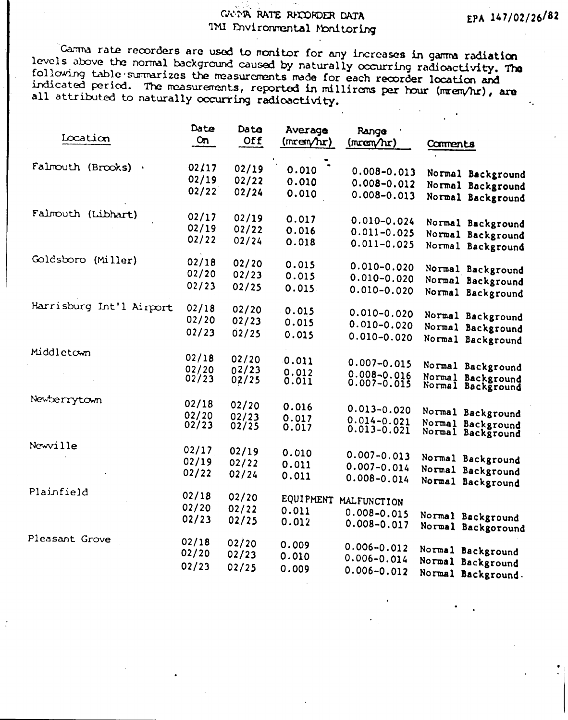# GUINA RATE RECORDER DATA TMI Environmental Monitoring

Carma rate recorders are used to monitor for any increases in gamma radiation levels above the normal background caused by naturally occurring radioactivity. The following table summarizes the measurements made for each recorder location and indicated period. The measurements, reported in millirems per hour (mrem/hr), are all attributed to naturally occurring radioactivity.

| Iocation                 | Date<br><b>On</b> | Date<br>Off    | Average<br>(mrem/hr) | Range<br>(mrem/hr)                 | Comments                                |
|--------------------------|-------------------|----------------|----------------------|------------------------------------|-----------------------------------------|
| Falmouth (Brooks)        | 02/17<br>02/19    | 02/19<br>02/22 | 0.010                | $0.008 - 0.013$                    | Normal Background                       |
|                          | 02/22             | 02/24          | 0.010<br>0.010       | $0.008 - 0.012$<br>$0.008 - 0.013$ | Normal Background<br>Normal Background  |
| Falmouth (Libhart)       | 02/17             | 02/19          | 0.017                | $0.010 - 0.024$                    | Normal Background                       |
|                          | 02/19             | 02/22          | 0.016                | $0.011 - 0.025$                    |                                         |
|                          | 02/22             | 02/24          | 0.018                | $0.011 - 0.025$                    | Normal Background<br>Normal Background  |
| Goldsboro (Miller)       | 02/18             | 02/20          | 0.015                | $0.010 - 0.020$                    | Normal Background                       |
|                          | 02/20             | 02/23          | 0.015                | $0.010 - 0.020$                    | Normal Background                       |
|                          | 02/23             | 02/25          | 0.015                | $0.010 - 0.020$                    | Normal Background                       |
| Harrisburg Int'l Airport | 02/18             | 02/20          | 0.015                | $0.010 - 0.020$                    | Normal Background                       |
|                          | 02/20             | 02/23          | 0.015                | $0.010 - 0.020$                    | Normal Background                       |
|                          | 02/23             | 02/25          | 0.015                | $0.010 - 0.020$                    | Normal Background                       |
| Middletown               | 02/18             | 02/20          | 0.011                | $0.007 - 0.015$                    |                                         |
|                          | 02/20             | 02/23          | 0.012                | $0.008 - 0.016$                    | Normal Background                       |
|                          | 02/23             | 02/25          | 0.011                | $0.007 - 0.015$                    | Normal Background<br>Normal Background  |
| Newberrytown             | 02/18             | 02/20          | 0.016                | $0.013 - 0.020$                    |                                         |
|                          | 02/20             | 02/23          | 0.017                | $0.014 - 0.021$                    | Normal Background                       |
|                          | 02/23             | 02/25          | 0.017                | $0.013 - 0.021$                    | Normal Background<br>Normal Background  |
| Newville                 | 02/17             | 02/19          | 0.010                | $0.007 - 0.013$                    |                                         |
|                          | 02/19             | 02/22          | 0.011                | $0.007 - 0.014$                    | Normal Background<br>Normal Background  |
|                          | 02/22             | 02/24          | 0.011                | $0.008 - 0.014$                    | Normal Background                       |
| Plainfield               | 02/18             | 02/20          | EQUIPMENT            | MALFUNCTION                        |                                         |
|                          | 02/20             | 02/22          | 0.011                | $0.008 - 0.015$                    |                                         |
|                          | 02/23             | 02/25          | 0.012                | $0.008 - 0.017$                    | Normal Background<br>Normal Backgoround |
| Pleasant Grove           | 02/18             | 02/20          | 0.009                | $0.006 - 0.012$                    | Normal Background                       |
|                          | 02/20             | 02/23          | 0.010                | $0.006 - 0.014$                    | Normal Background                       |
|                          | 02/23             | 02/25          | 0.009                | $0.006 - 0.012$                    | Normal Background.                      |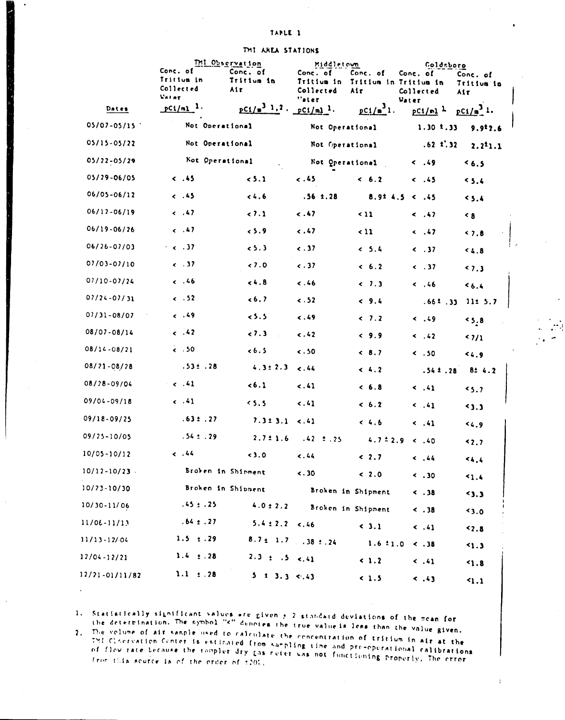|  | THI AREA STATIONS |  |  |  |
|--|-------------------|--|--|--|
|--|-------------------|--|--|--|

|                    | Conc. of                                  | TMI Observation<br>Conc. of               | Middletown                                   |                                          | <b>Coldsboro</b>               |                               |
|--------------------|-------------------------------------------|-------------------------------------------|----------------------------------------------|------------------------------------------|--------------------------------|-------------------------------|
|                    | Tritium in<br>Collected<br><b>Vatar</b>   | Tritium in<br>Air                         | Conc. of<br>Tritium in<br>Collected<br>"ater | Conc. of<br>Tritium in Tritium in<br>Air | Conc. of<br>Collected          | Conc. of<br>Tritium in<br>Air |
| Dates              | $P^{C1/n1}$ .                             | $pC_1/\sqrt{2^2+2}$ , $pC_1/\sqrt{2^2}$ . |                                              | $pC_{1}/a^{3}$ 1.                        | Vater<br>$pC1/n1$ <sup>1</sup> | $pCi/a^3$ 1.                  |
| 05/07-05/15        | Not Operational                           |                                           | Not Operational                              |                                          | 1.30 1.33                      | 9.9 <sup>1</sup> 2.6          |
| 05/15-05/22        | Not Operational                           |                                           | Not Operational                              |                                          | $.62 \pm .32$                  | 2.211.1                       |
| 05/22-05/29        | Not Operational                           |                                           | Not Operational                              |                                          | $\leftarrow$ .49               | 5.3                           |
| 05/29-06/05        | $\ddotsc$                                 | 5.1                                       | 5.45                                         | & 6.2                                    | $\leq$ .45                     | 5.4                           |
| 06/05-06/12        | $\ddotsc$                                 | 34.6                                      | $.56 \pm .28$                                |                                          | 8.924.5 < .45                  | 5.4                           |
| 06/12-06/19        | $\leftarrow .47$                          | 2.1                                       | c .47                                        | $\sim$ 11                                | $\leq$ .47                     | $\leq 8$                      |
| 06/19-06/26        | $\epsilon$ . 47                           | 5.9                                       | $\ddotsc$                                    | $\sim$ 11                                | $\leftarrow .47$               | 47.8                          |
| 06/26-07/03        | $\sim$ $\sim$ $\sim$ 37                   | 5.3                                       | $\ddotsc 37$                                 | 5.4                                      | < .37                          | 4.8                           |
| $07/03 - 07/10$    | $\leftarrow$ . 37                         | 0.7.0                                     | $\ddotsc 37$                                 | 6.2                                      | $\leftarrow$ .37               | 5.3                           |
| $01/10 - 01/24$    | $\epsilon$ . 46                           | 4.8                                       | 3.46                                         | & 7.3                                    | 4.46                           | 5.4                           |
| $07/24 - 07/31$    | $\epsilon$ . 52                           | 6.7                                       | $\ddotsc 52$                                 | & 9.4                                    | .661.33                        | 11: 5.7                       |
| $07/31 - 08/07$    | c.49                                      | 5.5                                       | 5.49                                         | & 7.2                                    | $\leftarrow .49$               | 5.8                           |
| 08/07-08/14        | $\epsilon$ .42                            | & 7.3                                     | $\ddotsc$                                    | & 9.9                                    | $\leq$ .42                     | 3/1                           |
| $08/14 - 08/21$    | $\leftarrow$ .50                          | 6.5                                       | $\ddotsc$                                    | & 8.7                                    | $\sim$ .50                     | 44.9                          |
| $08/71 - 08/78$    | .53: .28                                  | 4.3:2.3                                   | 5.44                                         | < 4.2                                    | .542.28                        | 8:4.2                         |
| 08/28-09/04        | $\sim$ $\sim$ $\sim$ $\sim$ $\sim$ $\sim$ | 56.1                                      | $\ddotsc 41$                                 | & 6.8                                    | $\leftarrow .41$               | 5.7                           |
| 09/04-09/18        | $\leftarrow$ $\cdot$ 41                   | 5.5                                       | 5.41                                         | 6.2                                      | $\leq$ .41                     | 5.3                           |
| 09/18-09/25        | .63: .27                                  | 7.313.1                                   | $\ddotsc.41$                                 | 4.6                                      | $\sim .41$                     | 54.9                          |
| 09/25-10/05        | $.54 \pm .29$                             | 2.7:1.6                                   | $.42 \pm .25$                                | $4.7 \pm 2.9$                            | 40.40                          | 42.7                          |
| $10/05 - 10/12$    | $\epsilon$ , 44                           | 5.0                                       | 1.44                                         | < 2.7                                    | 4.44                           | 4.4                           |
| $10/12 - 10/23$ .  |                                           | Broken in Shirment                        | $\ddotsc 30$                                 | < 2.0                                    | $\sim$ .30                     | 1.4                           |
| $10/73 - 10/30$    |                                           | Broken in Shipment                        |                                              | Broken in Shipment                       | 5.38                           | 5.2                           |
| 10/30-11/06        | $.45 \pm .25$                             | $4.0 \pm 2.2$                             |                                              | Broken in Shipment                       | < .38                          | 5.0                           |
| $11/06 - 11/13$    | $.64 \pm .27$                             | $5.4 \pm 2.2 \pm .46$                     |                                              | < 3.1                                    | $\left( 1, 4 \right)$          | 52.8                          |
| $11/13 - 12/04$    | $1.5 + .29$                               |                                           | $8.7 \pm 1.7$ .38 $\pm .24$                  | $1.6 \pm 1.0$                            | $\sim .38$                     | 5.1                           |
| $12/04 - 12/21$    | $1.4 \div .28$                            | $2.3 \pm .5$ <.41                         |                                              | < 1.2                                    | $\leq .41$                     | 51.8                          |
| $12/21 - 01/11/82$ | $1.1 \pm .28$                             | $5 - 1 - 3$ , 3 < . 43                    |                                              | < 1.5                                    | 5.43                           | 4.1                           |

1. Statistically significant values are given  $\pm$  2 standard deviations of the mean for the determination. The symbol "<" denotes the true value is less than the value given.

2. The volume of air sample used to calculate the concentration of tritium in air at the The version of minimum is estimated from sampling time and pre-operational calibrations of flow rate because the empler dry gas neter was not functioning properly. The error from this source is of the order of 1201.

 $\mathbf{r}$